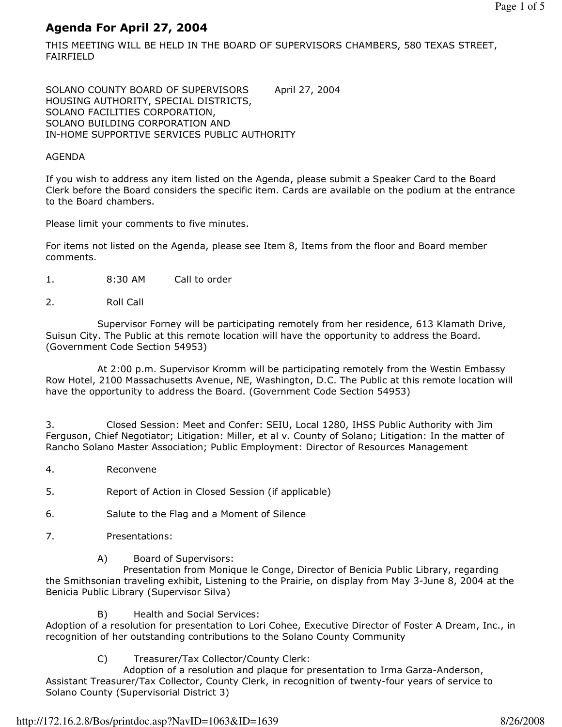# Agenda For April 27, 2004

THIS MEETING WILL BE HELD IN THE BOARD OF SUPERVISORS CHAMBERS, 580 TEXAS STREET, FAIRFIELD

SOLANO COUNTY BOARD OF SUPERVISORS April 27, 2004 HOUSING AUTHORITY, SPECIAL DISTRICTS, SOLANO FACILITIES CORPORATION, SOLANO BUILDING CORPORATION AND IN-HOME SUPPORTIVE SERVICES PUBLIC AUTHORITY

#### AGENDA

If you wish to address any item listed on the Agenda, please submit a Speaker Card to the Board Clerk before the Board considers the specific item. Cards are available on the podium at the entrance to the Board chambers.

Please limit your comments to five minutes.

For items not listed on the Agenda, please see Item 8, Items from the floor and Board member comments.

- 1. 8:30 AM Call to order
- 2. Roll Call

 Supervisor Forney will be participating remotely from her residence, 613 Klamath Drive, Suisun City. The Public at this remote location will have the opportunity to address the Board. (Government Code Section 54953)

 At 2:00 p.m. Supervisor Kromm will be participating remotely from the Westin Embassy Row Hotel, 2100 Massachusetts Avenue, NE, Washington, D.C. The Public at this remote location will have the opportunity to address the Board. (Government Code Section 54953)

3. Closed Session: Meet and Confer: SEIU, Local 1280, IHSS Public Authority with Jim Ferguson, Chief Negotiator; Litigation: Miller, et al v. County of Solano; Litigation: In the matter of Rancho Solano Master Association; Public Employment: Director of Resources Management

- 4. Reconvene
- 5. Report of Action in Closed Session (if applicable)
- 6. Salute to the Flag and a Moment of Silence
- 7. Presentations:
	- A) Board of Supervisors:

 Presentation from Monique le Conge, Director of Benicia Public Library, regarding the Smithsonian traveling exhibit, Listening to the Prairie, on display from May 3-June 8, 2004 at the Benicia Public Library (Supervisor Silva)

B) Health and Social Services:

Adoption of a resolution for presentation to Lori Cohee, Executive Director of Foster A Dream, Inc., in recognition of her outstanding contributions to the Solano County Community

C) Treasurer/Tax Collector/County Clerk:

 Adoption of a resolution and plaque for presentation to Irma Garza-Anderson, Assistant Treasurer/Tax Collector, County Clerk, in recognition of twenty-four years of service to Solano County (Supervisorial District 3)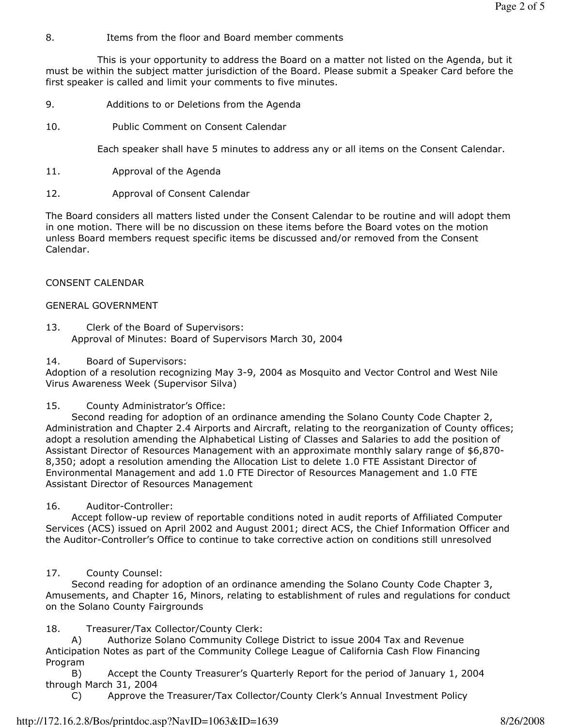8. Items from the floor and Board member comments

 This is your opportunity to address the Board on a matter not listed on the Agenda, but it must be within the subject matter jurisdiction of the Board. Please submit a Speaker Card before the first speaker is called and limit your comments to five minutes.

- 9. Additions to or Deletions from the Agenda
- 10. Public Comment on Consent Calendar

Each speaker shall have 5 minutes to address any or all items on the Consent Calendar.

- 11. Approval of the Agenda
- 12. Approval of Consent Calendar

The Board considers all matters listed under the Consent Calendar to be routine and will adopt them in one motion. There will be no discussion on these items before the Board votes on the motion unless Board members request specific items be discussed and/or removed from the Consent Calendar.

### CONSENT CALENDAR

### GENERAL GOVERNMENT

- 13. Clerk of the Board of Supervisors: Approval of Minutes: Board of Supervisors March 30, 2004
- 14. Board of Supervisors:

Adoption of a resolution recognizing May 3-9, 2004 as Mosquito and Vector Control and West Nile Virus Awareness Week (Supervisor Silva)

#### 15. County Administrator's Office:

 Second reading for adoption of an ordinance amending the Solano County Code Chapter 2, Administration and Chapter 2.4 Airports and Aircraft, relating to the reorganization of County offices; adopt a resolution amending the Alphabetical Listing of Classes and Salaries to add the position of Assistant Director of Resources Management with an approximate monthly salary range of \$6,870- 8,350; adopt a resolution amending the Allocation List to delete 1.0 FTE Assistant Director of Environmental Management and add 1.0 FTE Director of Resources Management and 1.0 FTE Assistant Director of Resources Management

#### 16. Auditor-Controller:

 Accept follow-up review of reportable conditions noted in audit reports of Affiliated Computer Services (ACS) issued on April 2002 and August 2001; direct ACS, the Chief Information Officer and the Auditor-Controller's Office to continue to take corrective action on conditions still unresolved

### 17. County Counsel:

 Second reading for adoption of an ordinance amending the Solano County Code Chapter 3, Amusements, and Chapter 16, Minors, relating to establishment of rules and regulations for conduct on the Solano County Fairgrounds

### 18. Treasurer/Tax Collector/County Clerk:

 A) Authorize Solano Community College District to issue 2004 Tax and Revenue Anticipation Notes as part of the Community College League of California Cash Flow Financing Program

 B) Accept the County Treasurer's Quarterly Report for the period of January 1, 2004 through March 31, 2004

C) Approve the Treasurer/Tax Collector/County Clerk's Annual Investment Policy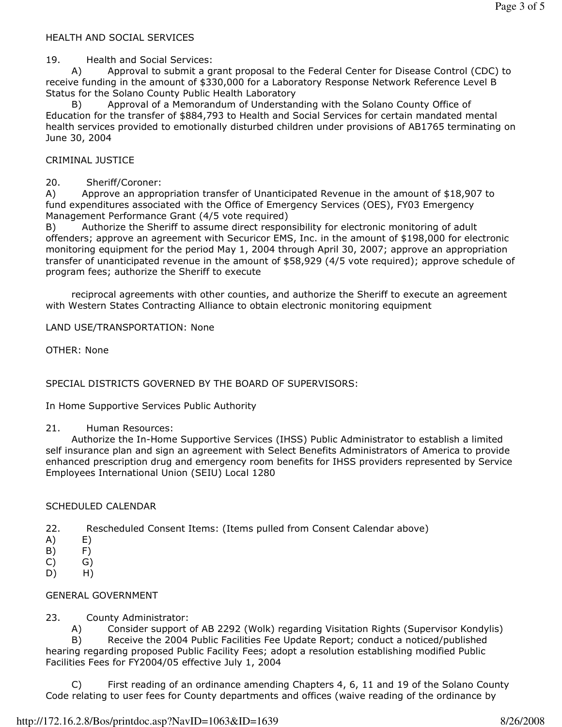#### HEALTH AND SOCIAL SERVICES

#### 19. Health and Social Services:

 A) Approval to submit a grant proposal to the Federal Center for Disease Control (CDC) to receive funding in the amount of \$330,000 for a Laboratory Response Network Reference Level B Status for the Solano County Public Health Laboratory

 B) Approval of a Memorandum of Understanding with the Solano County Office of Education for the transfer of \$884,793 to Health and Social Services for certain mandated mental health services provided to emotionally disturbed children under provisions of AB1765 terminating on June 30, 2004

#### CRIMINAL JUSTICE

#### 20. Sheriff/Coroner:

A) Approve an appropriation transfer of Unanticipated Revenue in the amount of \$18,907 to fund expenditures associated with the Office of Emergency Services (OES), FY03 Emergency Management Performance Grant (4/5 vote required)

B) Authorize the Sheriff to assume direct responsibility for electronic monitoring of adult offenders; approve an agreement with Securicor EMS, Inc. in the amount of \$198,000 for electronic monitoring equipment for the period May 1, 2004 through April 30, 2007; approve an appropriation transfer of unanticipated revenue in the amount of \$58,929 (4/5 vote required); approve schedule of program fees; authorize the Sheriff to execute

 reciprocal agreements with other counties, and authorize the Sheriff to execute an agreement with Western States Contracting Alliance to obtain electronic monitoring equipment

LAND USE/TRANSPORTATION: None

OTHER: None

SPECIAL DISTRICTS GOVERNED BY THE BOARD OF SUPERVISORS:

In Home Supportive Services Public Authority

#### 21. Human Resources:

 Authorize the In-Home Supportive Services (IHSS) Public Administrator to establish a limited self insurance plan and sign an agreement with Select Benefits Administrators of America to provide enhanced prescription drug and emergency room benefits for IHSS providers represented by Service Employees International Union (SEIU) Local 1280

#### SCHEDULED CALENDAR

- 22. Rescheduled Consent Items: (Items pulled from Consent Calendar above)
- A) E)
- B) F)
- $(C)$   $G)$
- D) H)

## GENERAL GOVERNMENT

## 23. County Administrator:

 A) Consider support of AB 2292 (Wolk) regarding Visitation Rights (Supervisor Kondylis) B) Receive the 2004 Public Facilities Fee Update Report; conduct a noticed/published hearing regarding proposed Public Facility Fees; adopt a resolution establishing modified Public Facilities Fees for FY2004/05 effective July 1, 2004

 C) First reading of an ordinance amending Chapters 4, 6, 11 and 19 of the Solano County Code relating to user fees for County departments and offices (waive reading of the ordinance by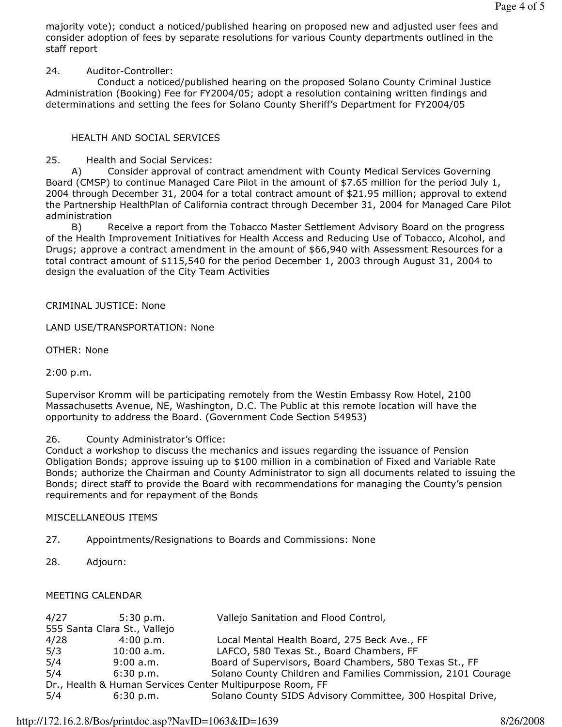majority vote); conduct a noticed/published hearing on proposed new and adjusted user fees and consider adoption of fees by separate resolutions for various County departments outlined in the staff report

24. Auditor-Controller:

 Conduct a noticed/published hearing on the proposed Solano County Criminal Justice Administration (Booking) Fee for FY2004/05; adopt a resolution containing written findings and determinations and setting the fees for Solano County Sheriff's Department for FY2004/05

# HEALTH AND SOCIAL SERVICES

25. Health and Social Services:

 A) Consider approval of contract amendment with County Medical Services Governing Board (CMSP) to continue Managed Care Pilot in the amount of \$7.65 million for the period July 1, 2004 through December 31, 2004 for a total contract amount of \$21.95 million; approval to extend the Partnership HealthPlan of California contract through December 31, 2004 for Managed Care Pilot administration

 B) Receive a report from the Tobacco Master Settlement Advisory Board on the progress of the Health Improvement Initiatives for Health Access and Reducing Use of Tobacco, Alcohol, and Drugs; approve a contract amendment in the amount of \$66,940 with Assessment Resources for a total contract amount of \$115,540 for the period December 1, 2003 through August 31, 2004 to design the evaluation of the City Team Activities

# CRIMINAL JUSTICE: None

LAND USE/TRANSPORTATION: None

OTHER: None

2:00 p.m.

Supervisor Kromm will be participating remotely from the Westin Embassy Row Hotel, 2100 Massachusetts Avenue, NE, Washington, D.C. The Public at this remote location will have the opportunity to address the Board. (Government Code Section 54953)

## 26. County Administrator's Office:

Conduct a workshop to discuss the mechanics and issues regarding the issuance of Pension Obligation Bonds; approve issuing up to \$100 million in a combination of Fixed and Variable Rate Bonds; authorize the Chairman and County Administrator to sign all documents related to issuing the Bonds; direct staff to provide the Board with recommendations for managing the County's pension requirements and for repayment of the Bonds

# MISCELLANEOUS ITEMS

- 27. Appointments/Resignations to Boards and Commissions: None
- 28. Adjourn:

# MEETING CALENDAR

| 4/27                                                      | 5:30 p.m.                    | Vallejo Sanitation and Flood Control,                        |
|-----------------------------------------------------------|------------------------------|--------------------------------------------------------------|
|                                                           | 555 Santa Clara St., Vallejo |                                                              |
| 4/28                                                      | 4:00 p.m.                    | Local Mental Health Board, 275 Beck Ave., FF                 |
| 5/3                                                       | $10:00$ a.m.                 | LAFCO, 580 Texas St., Board Chambers, FF                     |
| 5/4                                                       | 9:00 a.m.                    | Board of Supervisors, Board Chambers, 580 Texas St., FF      |
| 5/4                                                       | 6:30 p.m.                    | Solano County Children and Families Commission, 2101 Courage |
| Dr., Health & Human Services Center Multipurpose Room, FF |                              |                                                              |
| 5/4                                                       | 6:30 p.m.                    | Solano County SIDS Advisory Committee, 300 Hospital Drive,   |
|                                                           |                              |                                                              |

## http://172.16.2.8/Bos/printdoc.asp?NavID=1063&ID=1639 8/26/2008